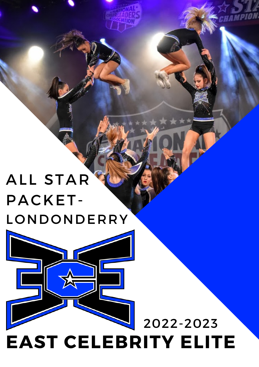# ALL STAR PACKET-LONDONDERRY

# **EAST CELEBRITY ELITE** 2022-2023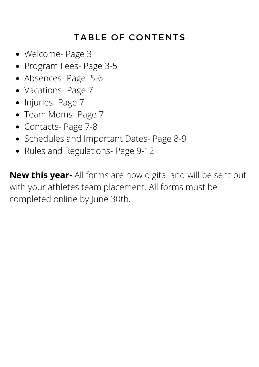### TABLE OF CONTENTS

- Welcome- Page 3
- Program Fees- Page 3-5
- Absences- Page 5-6
- Vacations- Page 7
- Injuries- Page 7
- Team Moms- Page 7
- Contacts- Page 7-8
- Schedules and Important Dates- Page 8-9
- Rules and Regulations- Page 9-12

**New this year-** All forms are now digital and will be sent out with your athletes team placement. All forms must be completed online by June 30th.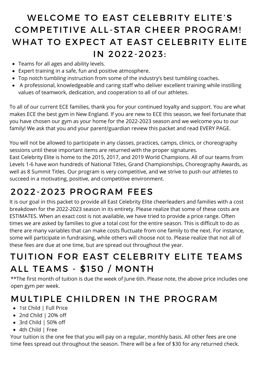## WELCOME TO EAST CELEBRITY ELITE'S COMPETITIVE ALL-STAR CHEER PROGRAM! WHAT TO EXPECT AT EAST CELEBRITY ELITE IN 2022-2023:

- Teams for all ages and ability levels.
- Expert training in a safe, fun and positive atmosphere.
- Top notch tumbling instruction from some of the industry's best tumbling coaches.
- A professional, knowledgeable and caring staff who deliver excellent training while instilling values of teamwork, dedication, and cooperation to all of our athletes.

To all of our current ECE families, thank you for your continued loyalty and support. You are what makes ECE the best gym in New England. If you are new to ECE this season, we feel fortunate that you have chosen our gym as your home for the 2022-2023 season and we welcome you to our family! We ask that you and your parent/guardian review this packet and read EVERY PAGE.

You will not be allowed to participate in any classes, practices, camps, clinics, or choreography sessions until these important items are returned with the proper signatures.

East Celebrity Elite is home to the 2015, 2017, and 2019 World Champions. All of our teams from Levels 1-6 have won hundreds of National Titles, Grand Championships, Choreography Awards, as well as 8 Summit Titles. Our program is very competitive, and we strive to push our athletes to succeed in a motivating, positive, and competitive environment.

### 2022-2023 PROGRAM FEES

It is our goal in this packet to provide all East Celebrity Elite cheerleaders and families with a cost breakdown for the 2022-2023 season in its entirety. Please realize that some of these costs are ESTIMATES. When an exact cost is not available, we have tried to provide a price range. Often times we are asked by families to give a total cost for the entire season. This is difficult to do as there are many variables that can make costs fluctuate from one family to the next. For instance, some will participate in fundraising, while others will choose not to. Please realize that not all of these fees are due at one time, but are spread out throughout the year.

### TUITION FOR EAST CELEBRITY ELITE TEAMS ALL TEAMS - \$150 / MONTH

\*\*The first month of tuition is due the week of June 6th. Please note, the above price includes one open gym per week.

### MULTIPLE CHILDREN IN THE PROGRAM

- 1st Child | Full Price
- 2nd Child | 20% off
- 3rd Child | 50% off
- 4th Child | Free

Your tuition is the one fee that you will pay on a regular, monthly basis. All other fees are one time fees spread out throughout the season. There will be a fee of \$30 for any returned check.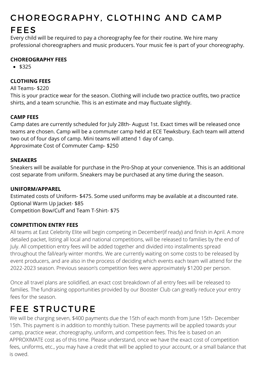# CHOREOGRAPHY, CLOTHING AND CAMP

#### FEES

Every child will be required to pay a choreography fee for their routine. We hire many professional choreographers and music producers. Your music fee is part of your choreography.

#### **CHOREOGRAPHY FEES**

 $•$  \$325

#### **CLOTHING FEES**

#### All Teams- \$220

This is your practice wear for the season. Clothing will include two practice outfits, two practice shirts, and a team scrunchie. This is an estimate and may fluctuate slightly.

#### **CAMP FEES**

Camp dates are currently scheduled for July 28th- August 1st. Exact times will be released once teams are chosen. Camp will be a commuter camp held at ECE Tewksbury. Each team will attend two out of four days of camp. Mini teams will attend 1 day of camp. Approximate Cost of Commuter Camp- \$250

#### **SNEAKERS**

Sneakers will be available for purchase in the Pro-Shop at your convenience. This is an additional cost separate from uniform. Sneakers may be purchased at any time during the season.

#### **UNIFORM/APPAREL**

Estimated costs of Uniform- \$475. Some used uniforms may be available at a discounted rate. Optional Warm Up Jacket- \$85 Competition Bow/Cuff and Team T-Shirt- \$75

#### **COMPETITION ENTRY FEES**

All teams at East Celebrity Elite will begin competing in December(if ready) and finish in April. A more detailed packet, listing all local and national competitions, will be released to families by the end of July. All competition entry fees will be added together and divided into installments spread throughout the fall/early winter months. We are currently waiting on some costs to be released by event producers, and are also in the process of deciding which events each team will attend for the 2022-2023 season. Previous season's competition fees were approximately \$1200 per person.

Once all travel plans are solidified, an exact cost breakdown of all entry fees will be released to families. The fundraising opportunities provided by our Booster Club can greatly reduce your entry fees for the season.

### FEE STRUCTURE

We will be charging seven, \$400 payments due the 15th of each month from June 15th- December 15th. This payment is in addition to monthly tuition. These payments will be applied towards your camp, practice wear, choreography, uniform, and competition fees. This fee is based on an APPROXIMATE cost as of this time. Please understand, once we have the exact cost of competition fees, uniforms, etc., you may have a credit that will be applied to your account, or a small balance that is owed.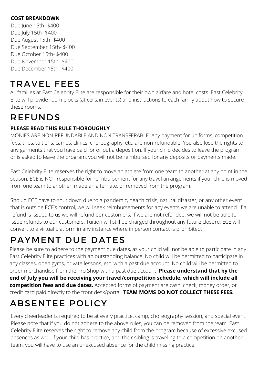#### **COST BREAKDOWN**

Due June 15th- \$400 Due July 15th- \$400 Due August 15th- \$400 Due September 15th- \$400 Due October 15th- \$400 Due November 15th- \$400 Due December 15th- \$400

### TRAVEL FEES

All families at East Celebrity Elite are responsible for their own airfare and hotel costs. East Celebrity Elite will provide room blocks (at certain events) and instructions to each family about how to secure these rooms.

# REFUNDS

#### **PLEASE READ THIS RULE THOROUGHLY**

MONIES ARE NON-REFUNDABLE AND NON TRANSFERABLE. Any payment for uniforms, competition fees, trips, tuitions, camps, clinics, choreography, etc. are non-refundable. You also lose the rights to any garments that you have paid for or put a deposit on. If your child decides to leave the program, or is asked to leave the program, you will not be reimbursed for any deposits or payments made.

East Celebrity Elite reserves the right to move an athlete from one team to another at any point in the season. ECE is NOT responsible for reimbursement for any travel arrangements if your child is moved from one team to another, made an alternate, or removed from the program.

Should ECE have to shut down due to a pandemic, health crisis, natural disaster, or any other event that is outside ECE's control, we will seek reimbursements for any events we are unable to attend. If a refund is issued to us we will refund our customers. If we are not refunded, we will not be able to issue refunds to our customers. Tuition will still be charged throughout any future closure. ECE will convert to a virtual platform in any instance where in person contact is prohibited.

# PAYMENT DUE DATES

Please be sure to adhere to the payment due dates, as your child will not be able to participate in any East Celebrity Elite practices with an outstanding balance. No child will be permitted to participate in any classes, open gyms, private lessons, etc. with a past due account. No child will be permitted to order merchandise from the Pro Shop with a past due account. **Please understand that by the end of July you will be receiving your travel/competition schedule, which will include all competition fees and due dates.** Accepted forms of payment are cash, check, money order, or credit card paid directly to the front desk/portal. **TEAM MOMS DO NOT COLLECT THESE FEES.**

# ABSENTEE POLICY

Every cheerleader is required to be at every practice, camp, choreography session, and special event. Please note that if you do not adhere to the above rules, you can be removed from the team. East Celebrity Elite reserves the right to remove any child from the program because of excessive excused absences as well. If your child has practice, and their sibling is traveling to a competition on another team, you will have to use an unexcused absence for the child missing practice.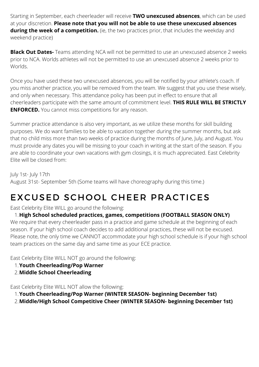Starting in September, each cheerleader will receive **TWO unexcused absences**, which can be used at your discretion. **Please note that you will not be able to use these unexcused absences during the week of a competition.** (ie, the two practices prior, that includes the weekday and weekend practice)

**Black Out Dates-** Teams attending NCA will not be permitted to use an unexcused absence 2 weeks prior to NCA. Worlds athletes will not be permitted to use an unexcused absence 2 weeks prior to Worlds.

Once you have used these two unexcused absences, you will be notified by your athlete's coach. If you miss another practice, you will be removed from the team. We suggest that you use these wisely, and only when necessary. This attendance policy has been put in effect to ensure that all cheerleaders participate with the same amount of commitment level. **THIS RULE WILL BE STRICTLY ENFORCED.** You cannot miss competitions for any reason.

Summer practice attendance is also very important, as we utilize these months for skill building purposes. We do want families to be able to vacation together during the summer months, but ask that no child miss more than two weeks of practice during the months of June, July, and August. You must provide any dates you will be missing to your coach in writing at the start of the season. If you are able to coordinate your own vacations with gym closings, it is much appreciated. East Celebrity Elite will be closed from:

July 1st- July 17th August 31st- September 5th (Some teams will have choreography during this time.)

## EXCUSED SCHOOL CHEER PRACTICES

#### East Celebrity Elite WILL go around the following:

**High School scheduled practices, games, competitions (FOOTBALL SEASON ONLY)** 1. We require that every cheerleader pass in a practice and game schedule at the beginning of each season. If your high school coach decides to add additional practices, these will not be excused. Please note, the only time we CANNOT accommodate your high school schedule is if your high school team practices on the same day and same time as your ECE practice.

East Celebrity Elite WILL NOT go around the following:

- **Youth Cheerleading/Pop Warner** 1.
- **Middle School Cheerleading** 2.

East Celebrity Elite WILL NOT allow the following:

- **Youth Cheerleading/Pop Warner (WINTER SEASON- beginning December 1st)** 1.
- **Middle/High School Competitive Cheer (WINTER SEASON- beginning December 1st)** 2.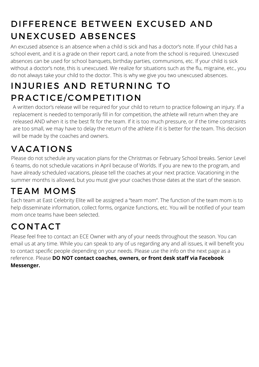# DIFFERENCE BETWEEN EXCUSED AND UNEXCUSED ABSENCES

An excused absence is an absence when a child is sick and has a doctor's note. If your child has a school event, and it is a grade on their report card, a note from the school is required. Unexcused absences can be used for school banquets, birthday parties, communions, etc. If your child is sick without a doctor's note, this is unexcused. We realize for situations such as the flu, migraine, etc., you do not always take your child to the doctor. This is why we give you two unexcused absences.

# INJURIES AND RETURNING TO PRACTICE/COMPETITION

A written doctor's release will be required for your child to return to practice following an injury. If a replacement is needed to temporarily fill in for competition, the athlete will return when they are released AND when it is the best fit for the team. If it is too much pressure, or if the time constraints are too small, we may have to delay the return of the athlete if it is better for the team. This decision will be made by the coaches and owners.

# VACATIONS

Please do not schedule any vacation plans for the Christmas or February School breaks. Senior Level 6 teams, do not schedule vacations in April because of Worlds. If you are new to the program, and have already scheduled vacations, please tell the coaches at your next practice. Vacationing in the summer months is allowed, but you must give your coaches those dates at the start of the season.

## TEAM MOMS

Each team at East Celebrity Elite will be assigned a "team mom". The function of the team mom is to help disseminate information, collect forms, organize functions, etc. You will be notified of your team mom once teams have been selected.

# CONTACT

Please feel free to contact an ECE Owner with any of your needs throughout the season. You can email us at any time. While you can speak to any of us regarding any and all issues, it will benefit you to contact specific people depending on your needs. Please use the info on the next page as a reference. Please **DO NOT contact coaches, owners, or front desk staff via Facebook Messenger.**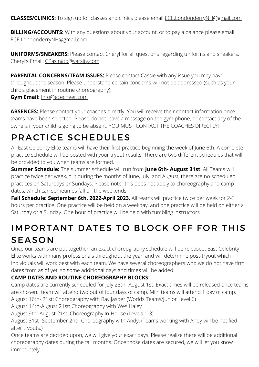**CLASSES/CLINICS:** To sign up for classes and clinics please email ECE.LondonderryNH@gmail.com

**BILLING/ACCOUNTS:** With any questions about your account, or to pay a balance please email ECE.LondonderryNH@gmail.com

**UNIFORMS/SNEAKERS:** Please contact Cheryl for all questions regarding uniforms and sneakers. Cheryl's Email: [CPasinato@varsity.com](mailto:CPasinato@varsity.com)

**PARENTAL CONCERNS/TEAM ISSUES:** Please contact Cassie with any issue you may have throughout the season. Please understand certain concerns will not be addressed (such as your child's placement in routine choreography).

#### **Gym Email:** [Info@ececheer.com](mailto:Info@ececheer.com)

ABSENCES: Please contact your coaches directly. You will receive their contact information once teams have been selected. Please do not leave a message on the gym phone, or contact any of the owners if your child is going to be absent. YOU MUST CONTACT THE COACHES DIRECTLY!

### PRACTICE SCHEDULES

All East Celebrity Elite teams will have their first practice beginning the week of June 6th. A complete practice schedule will be posted with your tryout results. There are two different schedules that will be provided to you when teams are formed.

**Summer Schedule:** The summer schedule will run from **June 6th- August 31st**. All Teams will practice twice per week, but during the months of June, July, and August, there are no scheduled practices on Saturdays or Sundays. Please note- this does not apply to choreography and camp dates, which can sometimes fall on the weekends.

Fall Schedule: September 6th, 2022-April 2023. All teams will practice twice per week for 2-3 hours per practice. One practice will be held on a weekday, and one practice will be held on either a Saturday or a Sunday. One hour of practice will be held with tumbling instructors.

### IMPORTANT DATES TO BLOCK OFF FOR THIS SEASON

Once our teams are put together, an exact choreography schedule will be released. East Celebrity Elite works with many professionals throughout the year, and will determine post-tryout which individuals will work best with each team. We have several choreographers who we do not have firm dates from as of yet, so some additional days and times will be added.

#### **CAMP DATES AND ROUTINE CHOREOGRAPHY BLOCKS:**

Camp dates are currently scheduled for July 28th- August 1st. Exact times will be released once teams are chosen. team will attend two out of four days of camp. Mini teams will attend 1 day of camp.

August 16th- 21st: Choreography with Ray Jasper (Worlds Teams/Junior Level 6)

August 14th-August 21st: Choreography with Wes Haley

August 9th- August 21st: Choreography In-House (Levels 1-3)

August 31st- September 2nd: Choreography with Andy. (Teams working with Andy will be notified after tryouts.)

Once teams are decided upon, we will give your exact days. Please realize there will be additional choreography dates during the fall months. Once those dates are secured, we will let you know immediately.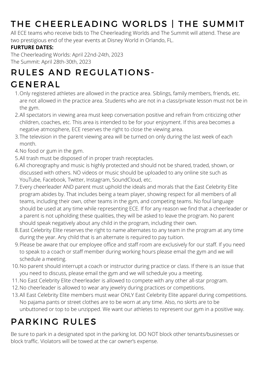# THE CHEERLEADING WORLDS | THE SUMMIT

All ECE teams who receive bids to The Cheerleading Worlds and The Summit will attend. These are two prestigious end of the year events at Disney World in Orlando, FL.

#### **FURTURE DATES:**

The Cheerleading Worlds: April 22nd-24th, 2023 The Summit: April 28th-30th, 2023

# RULES AND REGULATIONS-

### GENERAL

- Only registered athletes are allowed in the practice area. Siblings, family members, friends, etc. 1. are not allowed in the practice area. Students who are not in a class/private lesson must not be in the gym.
- All spectators in viewing area must keep conversation positive and refrain from criticizing other 2. children, coaches, etc. This area is intended to be for your enjoyment. If this area becomes a negative atmosphere, ECE reserves the right to close the viewing area.
- 3.The television in the parent viewing area will be turned on only during the last week of each month.
- 4. No food or gum in the gym.
- 5. All trash must be disposed of in proper trash receptacles.
- All choreography and music is highly protected and should not be shared, traded, shown, or 6. discussed with others. NO videos or music should be uploaded to any online site such as YouTube, Facebook, Twitter, Instagram, SoundCloud, etc.
- Every cheerleader AND parent must uphold the ideals and morals that the East Celebrity Elite 7. program abides by. That includes being a team player, showing respect for all members of all teams, including their own, other teams in the gym, and competing teams. No foul language should be used at any time while representing ECE. If for any reason we find that a cheerleader or a parent is not upholding these qualities, they will be asked to leave the program. No parent should speak negatively about any child in the program, including their own.
- East Celebrity Elite reserves the right to name alternates to any team in the program at any time 8. during the year. Any child that is an alternate is required to pay tuition.
- Please be aware that our employee office and staff room are exclusively for our staff. If you need 9. to speak to a coach or staff member during working hours please email the gym and we will schedule a meeting.
- 10. No parent should interrupt a coach or instructor during practice or class. If there is an issue that you need to discuss, please email the gym and we will schedule you a meeting.
- 11. No East Celebrity Elite cheerleader is allowed to compete with any other all-star program.
- 12. No cheerleader is allowed to wear any jewelry during practices or competitions.
- 13. All East Celebrity Elite members must wear ONLY East Celebrity Elite apparel during competitions. No pajama pants or street clothes are to be worn at any time. Also, no skirts are to be unbuttoned or top to be unzipped. We want our athletes to represent our gym in a positive way.

# PARKING RULES

Be sure to park in a designated spot in the parking lot. DO NOT block other tenants/businesses or block traffic. Violators will be towed at the car owner's expense.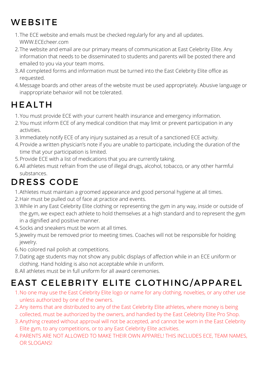# **WEBSITE**

- The ECE website and emails must be checked regularly for any and all updates. 1. [WWW.ECEcheer.com](http://www.ececheer.com/)
- 2.The website and email are our primary means of communication at East Celebrity Elite. Any information that needs to be disseminated to students and parents will be posted there and emailed to you via your team moms.
- All completed forms and information must be turned into the East Celebrity Elite office as 3. requested.
- Message boards and other areas of the website must be used appropriately. Abusive language or 4. inappropriate behavior will not be tolerated.

### HEALTH

- You must provide ECE with your current health insurance and emergency information. 1.
- 2. You must inform ECE of any medical condition that may limit or prevent participation in any activities.
- Immediately notify ECE of any injury sustained as a result of a sanctioned ECE activity. 3.
- Provide a written physician's note if you are unable to participate, including the duration of the 4. time that your participation is limited.
- Provide ECE with a list of medications that you are currently taking. 5.
- 6.All athletes must refrain from the use of illegal drugs, alcohol, tobacco, or any other harmful substances.

## DRESS CODE

- Athletes must maintain a groomed appearance and good personal hygiene at all times. 1.
- 2. Hair must be pulled out of face at practice and events.
- 3. While in any East Celebrity Elite clothing or representing the gym in any way, inside or outside of the gym, we expect each athlete to hold themselves at a high standard and to represent the gym in a dignified and positive manner.
- 4. Socks and sneakers must be worn at all times.
- Jewelry must be removed prior to meeting times. Coaches will not be responsible for holding 5. jewelry.
- 6. No colored nail polish at competitions.
- Dating age students may not show any public displays of affection while in an ECE uniform or 7. clothing. Hand holding is also not acceptable while in uniform.
- All athletes must be in full uniform for all award ceremonies. 8.

# EAST CELEBRITY ELITE CLOTHING/APPAREL

- 1. No one may use the East Celebrity Elite logo or name for any clothing, novelties, or any other use unless authorized by one of the owners.
- 2. Any items that are distributed to any of the East Celebrity Elite athletes, where money is being collected, must be authorized by the owners, and handled by the East Celebrity Elite Pro Shop.
- Anything created without approval will not be accepted, and cannot be worn in the East Celebrity 3. Elite gym, to any competitions, or to any East Celebrity Elite activities.
- PARENTS ARE NOT ALLOWED TO MAKE THEIR OWN APPAREL! THIS INCLUDES ECE, TEAM NAMES, 4.OR SLOGANS!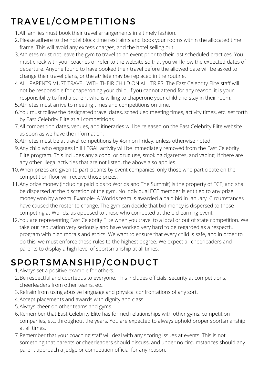# TRAVEL/COMPETITIONS

- All families must book their travel arrangements in a timely fashion. 1.
- 2. Please adhere to the hotel block time restraints and book your rooms within the allocated time frame. This will avoid any excess charges, and the hotel selling out.
- Athletes must not leave the gym to travel to an event prior to their last scheduled practices. You 3. must check with your coaches or refer to the website so that you will know the expected dates of departure. Anyone found to have booked their travel before the allowed date will be asked to change their travel plans, or the athlete may be replaced in the routine.
- ALL PARENTS MUST TRAVEL WITH THEIR CHILD ON ALL TRIPS. The East Celebrity Elite staff will 4. not be responsible for chaperoning your child. If you cannot attend for any reason, it is your responsibility to find a parent who is willing to chaperone your child and stay in their room.
- 5. Athletes must arrive to meeting times and competitions on time.
- 6. You must follow the designated travel dates, scheduled meeting times, activity times, etc. set forth by East Celebrity Elite at all competitions.
- All competition dates, venues, and itineraries will be released on the East Celebrity Elite website 7. as soon as we have the information.
- Athletes must be at travel competitions by 4pm on Friday, unless otherwise noted. 8.
- Any child who engages in ILLEGAL activity will be immediately removed from the East Celebrity 9. Elite program. This includes any alcohol or drug use, smoking cigarettes, and vaping. If there are any other illegal activities that are not listed, the above also applies.
- 10. When prizes are given to participants by event companies, only those who participate on the competition floor will receive those prizes.
- Any prize money (including paid bids to Worlds and The Summit) is the property of ECE, and shall 11. be dispersed at the discretion of the gym. No individual ECE member is entitled to any prize money won by a team. Example- A Worlds team is awarded a paid bid in January. Circumstances have caused the roster to change. The gym can decide that bid money is dispersed to those competing at Worlds, as opposed to those who competed at the bid-earning event.
- 12. You are representing East Celebrity Elite when you travel to a local or out of state competition. We take our reputation very seriously and have worked very hard to be regarded as a respectful program with high morals and ethics. We want to ensure that every child is safe, and in order to do this, we must enforce these rules to the highest degree. We expect all cheerleaders and parents to display a high level of sportsmanship at all times.

# SPORTSMANSHIP/CONDUCT

- Always set a positive example for others. 1.
- 2. Be respectful and courteous to everyone. This includes officials, security at competitions, cheerleaders from other teams, etc.
- 3. Refrain from using abusive language and physical confrontations of any sort.
- Accept placements and awards with dignity and class. 4.
- 5. Always cheer on other teams and gyms.
- 6. Remember that East Celebrity Elite has formed relationships with other gyms, competition companies, etc. throughout the years. You are expected to always uphold proper sportsmanship at all times.
- Remember that your coaching staff will deal with any scoring issues at events. This is not 7.something that parents or cheerleaders should discuss, and under no circumstances should any parent approach a judge or competition official for any reason.